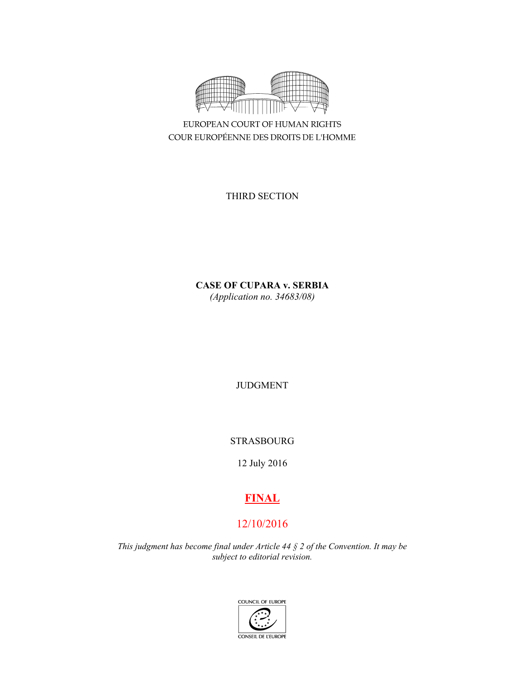

EUROPEAN COURT OF HUMAN RIGHTS COUR EUROPÉENNE DES DROITS DE L'HOMME

THIRD SECTION

**CASE OF CUPARA v. SERBIA**  *(Application no. 34683/08)* 

JUDGMENT

STRASBOURG

12 July 2016

# **FINAL**

# 12/10/2016

*This judgment has become final under Article 44 § 2 of the Convention. It may be subject to editorial revision.* 

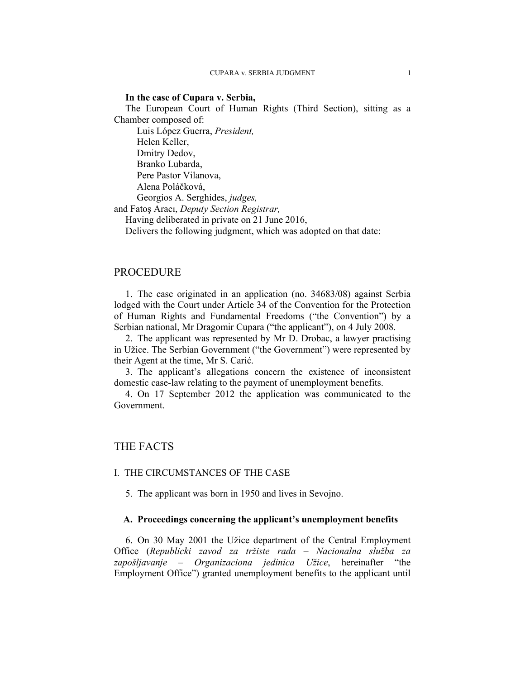### **In the case of Cupara v. Serbia,**

The European Court of Human Rights (Third Section), sitting as a Chamber composed of:

 Luis López Guerra, *President,*  Helen Keller, Dmitry Dedov, Branko Lubarda, Pere Pastor Vilanova, Alena Poláčková, Georgios A. Serghides, *judges,*

and Fatoş Aracı, *Deputy Section Registrar,*

Having deliberated in private on 21 June 2016,

Delivers the following judgment, which was adopted on that date:

# PROCEDURE

1. The case originated in an application (no. 34683/08) against Serbia lodged with the Court under Article 34 of the Convention for the Protection of Human Rights and Fundamental Freedoms ("the Convention") by a Serbian national, Mr Dragomir Cupara ("the applicant"), on 4 July 2008.

2. The applicant was represented by Mr Đ. Drobac, a lawyer practising in Užice. The Serbian Government ("the Government") were represented by their Agent at the time, Mr S. Carić.

3. The applicant's allegations concern the existence of inconsistent domestic case-law relating to the payment of unemployment benefits.

4. On 17 September 2012 the application was communicated to the Government.

# THE FACTS

# I. THE CIRCUMSTANCES OF THE CASE

5. The applicant was born in 1950 and lives in Sevojno.

### **A. Proceedings concerning the applicant's unemployment benefits**

6. On 30 May 2001 the Užice department of the Central Employment Office (*Republicki zavod za tržiste rada – Nacionalna služba za zapošljavanje – Organizaciona jedinica Užice*, hereinafter "the Employment Office") granted unemployment benefits to the applicant until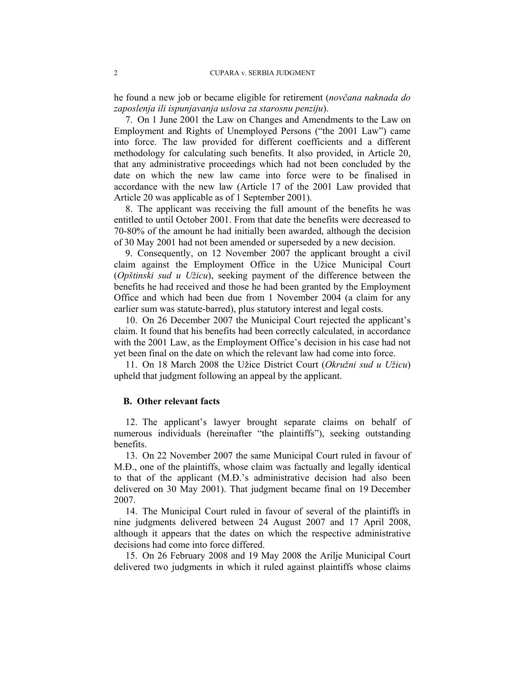he found a new job or became eligible for retirement (*novčana naknada do zaposlenja ili ispunjavanja uslova za starosnu penziju*).

7. On 1 June 2001 the Law on Changes and Amendments to the Law on Employment and Rights of Unemployed Persons ("the 2001 Law") came into force. The law provided for different coefficients and a different methodology for calculating such benefits. It also provided, in Article 20, that any administrative proceedings which had not been concluded by the date on which the new law came into force were to be finalised in accordance with the new law (Article 17 of the 2001 Law provided that Article 20 was applicable as of 1 September 2001).

8. The applicant was receiving the full amount of the benefits he was entitled to until October 2001. From that date the benefits were decreased to 70-80% of the amount he had initially been awarded, although the decision of 30 May 2001 had not been amended or superseded by a new decision.

9. Consequently, on 12 November 2007 the applicant brought a civil claim against the Employment Office in the Užice Municipal Court (*Opštinski sud u Užicu*), seeking payment of the difference between the benefits he had received and those he had been granted by the Employment Office and which had been due from 1 November 2004 (a claim for any earlier sum was statute-barred), plus statutory interest and legal costs.

10. On 26 December 2007 the Municipal Court rejected the applicant's claim. It found that his benefits had been correctly calculated, in accordance with the 2001 Law, as the Employment Office's decision in his case had not yet been final on the date on which the relevant law had come into force.

11. On 18 March 2008 the Užice District Court (*Okružni sud u Užicu*) upheld that judgment following an appeal by the applicant.

#### **B. Other relevant facts**

12. The applicant's lawyer brought separate claims on behalf of numerous individuals (hereinafter "the plaintiffs"), seeking outstanding benefits.

13. On 22 November 2007 the same Municipal Court ruled in favour of M.Ð., one of the plaintiffs, whose claim was factually and legally identical to that of the applicant (M.Ð.'s administrative decision had also been delivered on 30 May 2001). That judgment became final on 19 December 2007.

14. The Municipal Court ruled in favour of several of the plaintiffs in nine judgments delivered between 24 August 2007 and 17 April 2008, although it appears that the dates on which the respective administrative decisions had come into force differed.

15. On 26 February 2008 and 19 May 2008 the Arilje Municipal Court delivered two judgments in which it ruled against plaintiffs whose claims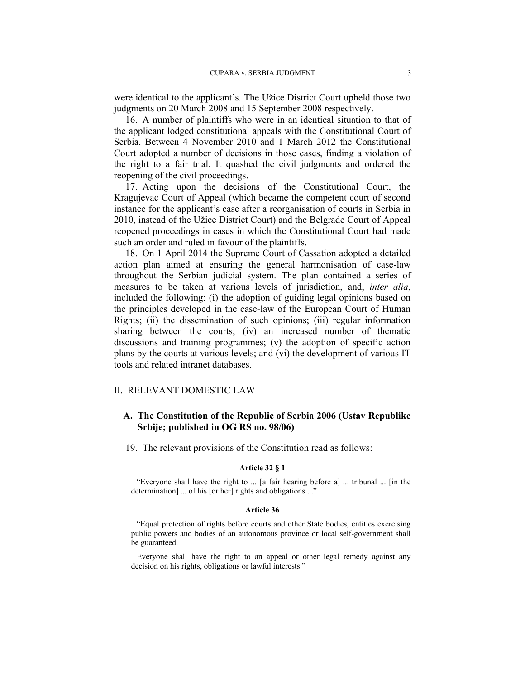were identical to the applicant's. The Užice District Court upheld those two judgments on 20 March 2008 and 15 September 2008 respectively.

16. A number of plaintiffs who were in an identical situation to that of the applicant lodged constitutional appeals with the Constitutional Court of Serbia. Between 4 November 2010 and 1 March 2012 the Constitutional Court adopted a number of decisions in those cases, finding a violation of the right to a fair trial. It quashed the civil judgments and ordered the reopening of the civil proceedings.

17. Acting upon the decisions of the Constitutional Court, the Kragujevac Court of Appeal (which became the competent court of second instance for the applicant's case after a reorganisation of courts in Serbia in 2010, instead of the Užice District Court) and the Belgrade Court of Appeal reopened proceedings in cases in which the Constitutional Court had made such an order and ruled in favour of the plaintiffs.

18. On 1 April 2014 the Supreme Court of Cassation adopted a detailed action plan aimed at ensuring the general harmonisation of case-law throughout the Serbian judicial system. The plan contained a series of measures to be taken at various levels of jurisdiction, and, *inter alia*, included the following: (i) the adoption of guiding legal opinions based on the principles developed in the case-law of the European Court of Human Rights; (ii) the dissemination of such opinions; (iii) regular information sharing between the courts; (iv) an increased number of thematic discussions and training programmes; (v) the adoption of specific action plans by the courts at various levels; and (vi) the development of various IT tools and related intranet databases.

#### II. RELEVANT DOMESTIC LAW

# **A. The Constitution of the Republic of Serbia 2006 (Ustav Republike Srbije; published in OG RS no. 98/06)**

19. The relevant provisions of the Constitution read as follows:

#### **Article 32 § 1**

"Everyone shall have the right to ... [a fair hearing before a] ... tribunal ... [in the determination] ... of his [or her] rights and obligations ..."

#### **Article 36**

"Equal protection of rights before courts and other State bodies, entities exercising public powers and bodies of an autonomous province or local self-government shall be guaranteed.

Everyone shall have the right to an appeal or other legal remedy against any decision on his rights, obligations or lawful interests."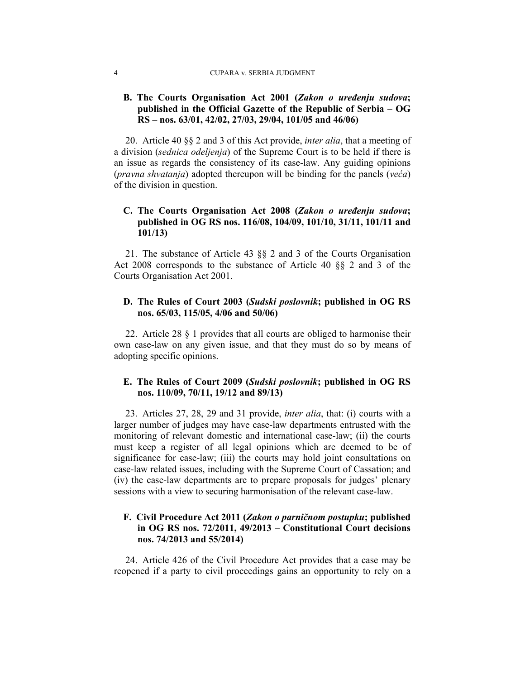#### 4 CUPARA v. SERBIA JUDGMENT

# **B. The Courts Organisation Act 2001 (***Zakon o uređenju sudova***; published in the Official Gazette of the Republic of Serbia – OG RS – nos. 63/01, 42/02, 27/03, 29/04, 101/05 and 46/06)**

20. Article 40 §§ 2 and 3 of this Act provide, *inter alia*, that a meeting of a division (*sednica odeljenja*) of the Supreme Court is to be held if there is an issue as regards the consistency of its case-law. Any guiding opinions (*pravna shvatanja*) adopted thereupon will be binding for the panels (*veća*) of the division in question.

# **C. The Courts Organisation Act 2008 (***Zakon o uređenju sudova***; published in OG RS nos. 116/08, 104/09, 101/10, 31/11, 101/11 and 101/13)**

21. The substance of Article 43 §§ 2 and 3 of the Courts Organisation Act 2008 corresponds to the substance of Article 40 §§ 2 and 3 of the Courts Organisation Act 2001.

# **D. The Rules of Court 2003 (***Sudski poslovnik***; published in OG RS nos. 65/03, 115/05, 4/06 and 50/06)**

22. Article 28 § 1 provides that all courts are obliged to harmonise their own case-law on any given issue, and that they must do so by means of adopting specific opinions.

# **E. The Rules of Court 2009 (***Sudski poslovnik***; published in OG RS nos. 110/09, 70/11, 19/12 and 89/13)**

23. Articles 27, 28, 29 and 31 provide, *inter alia*, that: (i) courts with a larger number of judges may have case-law departments entrusted with the monitoring of relevant domestic and international case-law; (ii) the courts must keep a register of all legal opinions which are deemed to be of significance for case-law; (iii) the courts may hold joint consultations on case-law related issues, including with the Supreme Court of Cassation; and (iv) the case-law departments are to prepare proposals for judges' plenary sessions with a view to securing harmonisation of the relevant case-law.

# **F. Civil Procedure Act 2011 (***Zakon o parničnom postupku***; published in OG RS nos. 72/2011, 49/2013 – Constitutional Court decisions nos. 74/2013 and 55/2014)**

24. Article 426 of the Civil Procedure Act provides that a case may be reopened if a party to civil proceedings gains an opportunity to rely on a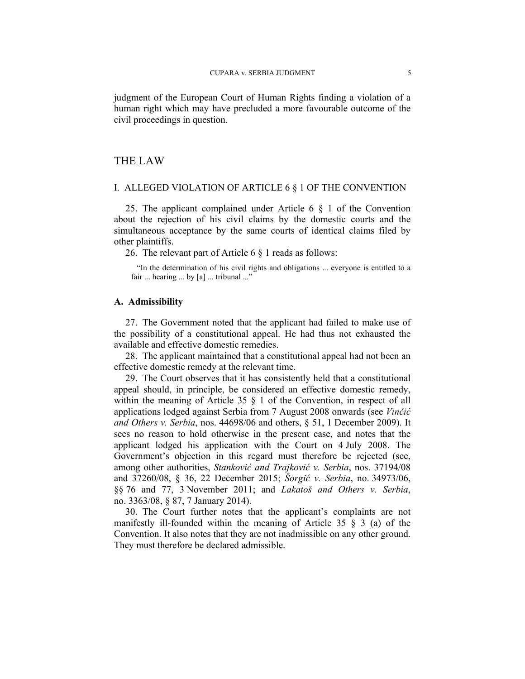judgment of the European Court of Human Rights finding a violation of a human right which may have precluded a more favourable outcome of the civil proceedings in question.

# THE LAW

#### I. ALLEGED VIOLATION OF ARTICLE 6 § 1 OF THE CONVENTION

25. The applicant complained under Article 6 § 1 of the Convention about the rejection of his civil claims by the domestic courts and the simultaneous acceptance by the same courts of identical claims filed by other plaintiffs.

26. The relevant part of Article 6 § 1 reads as follows:

"In the determination of his civil rights and obligations ... everyone is entitled to a fair ... hearing ... by [a] ... tribunal ..."

## **A. Admissibility**

27. The Government noted that the applicant had failed to make use of the possibility of a constitutional appeal. He had thus not exhausted the available and effective domestic remedies.

28. The applicant maintained that a constitutional appeal had not been an effective domestic remedy at the relevant time.

29. The Court observes that it has consistently held that a constitutional appeal should, in principle, be considered an effective domestic remedy, within the meaning of Article 35  $\S$  1 of the Convention, in respect of all applications lodged against Serbia from 7 August 2008 onwards (see *Vinčić and Others v. Serbia*, nos. 44698/06 and others, § 51, 1 December 2009). It sees no reason to hold otherwise in the present case, and notes that the applicant lodged his application with the Court on 4 July 2008. The Government's objection in this regard must therefore be rejected (see, among other authorities, *Stanković and Trajković v. Serbia*, nos. 37194/08 and 37260/08, § 36, 22 December 2015; *Šorgić v. Serbia*, no. 34973/06, §§ 76 and 77, 3 November 2011; and *Lakatoš and Others v. Serbia*, no. 3363/08, § 87, 7 January 2014).

30. The Court further notes that the applicant's complaints are not manifestly ill-founded within the meaning of Article 35 § 3 (a) of the Convention. It also notes that they are not inadmissible on any other ground. They must therefore be declared admissible.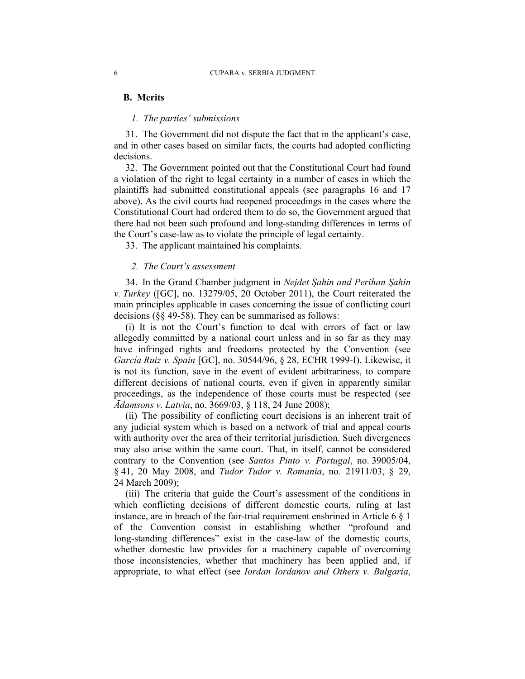### **B. Merits**

#### *1. The parties' submissions*

31. The Government did not dispute the fact that in the applicant's case, and in other cases based on similar facts, the courts had adopted conflicting decisions.

32. The Government pointed out that the Constitutional Court had found a violation of the right to legal certainty in a number of cases in which the plaintiffs had submitted constitutional appeals (see paragraphs 16 and 17 above). As the civil courts had reopened proceedings in the cases where the Constitutional Court had ordered them to do so, the Government argued that there had not been such profound and long-standing differences in terms of the Court's case-law as to violate the principle of legal certainty.

33. The applicant maintained his complaints.

## *2. The Court's assessment*

34. In the Grand Chamber judgment in *Nejdet Şahin and Perihan Şahin v. Turkey* ([GC], no. 13279/05, 20 October 2011), the Court reiterated the main principles applicable in cases concerning the issue of conflicting court decisions (§§ 49-58). They can be summarised as follows:

(i) It is not the Court's function to deal with errors of fact or law allegedly committed by a national court unless and in so far as they may have infringed rights and freedoms protected by the Convention (see *García Ruiz v. Spain* [GC], no. 30544/96, § 28, ECHR 1999-I). Likewise, it is not its function, save in the event of evident arbitrariness, to compare different decisions of national courts, even if given in apparently similar proceedings, as the independence of those courts must be respected (see *Ādamsons v. Latvia*, no. 3669/03, § 118, 24 June 2008);

(ii) The possibility of conflicting court decisions is an inherent trait of any judicial system which is based on a network of trial and appeal courts with authority over the area of their territorial jurisdiction. Such divergences may also arise within the same court. That, in itself, cannot be considered contrary to the Convention (see *Santos Pinto v. Portugal*, no. 39005/04, § 41, 20 May 2008, and *Tudor Tudor v. Romania*, no. 21911/03, § 29, 24 March 2009);

(iii) The criteria that guide the Court's assessment of the conditions in which conflicting decisions of different domestic courts, ruling at last instance, are in breach of the fair-trial requirement enshrined in Article 6 § 1 of the Convention consist in establishing whether "profound and long-standing differences" exist in the case-law of the domestic courts, whether domestic law provides for a machinery capable of overcoming those inconsistencies, whether that machinery has been applied and, if appropriate, to what effect (see *Iordan Iordanov and Others v. Bulgaria*,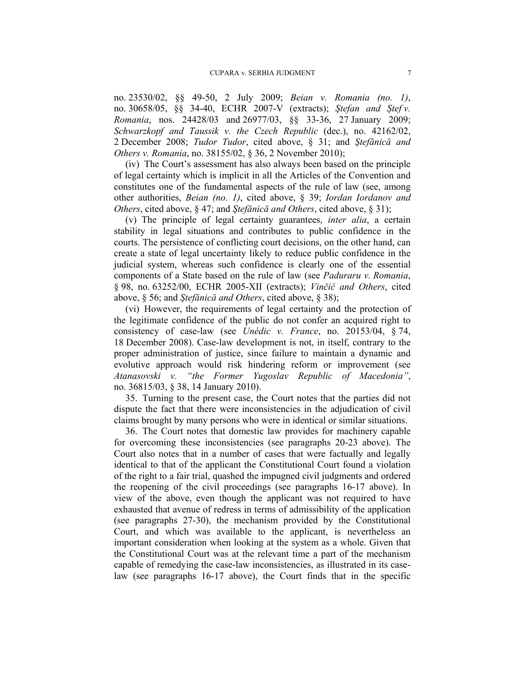no. 23530/02, §§ 49-50, 2 July 2009; *Beian v. Romania (no. 1)*, no. 30658/05, §§ 34-40, ECHR 2007-V (extracts); *Ştefan and Ştef v. Romania*, nos. 24428/03 and 26977/03, §§ 33-36, 27 January 2009; *Schwarzkopf and Taussik v. the Czech Republic* (dec.), no. 42162/02, 2 December 2008; *Tudor Tudor*, cited above, § 31; and *Ştefănică and Others v. Romania*, no. 38155/02, § 36, 2 November 2010);

(iv) The Court's assessment has also always been based on the principle of legal certainty which is implicit in all the Articles of the Convention and constitutes one of the fundamental aspects of the rule of law (see, among other authorities, *Beian (no. 1)*, cited above, § 39; *Iordan Iordanov and Others*, cited above, § 47; and *Ştefănică and Others*, cited above, § 31);

(v) The principle of legal certainty guarantees, *inter alia*, a certain stability in legal situations and contributes to public confidence in the courts. The persistence of conflicting court decisions, on the other hand, can create a state of legal uncertainty likely to reduce public confidence in the judicial system, whereas such confidence is clearly one of the essential components of a State based on the rule of law (see *Paduraru v. Romania*, § 98, no. 63252/00, ECHR 2005-XII (extracts); *Vinčić and Others*, cited above, § 56; and *Ştefănică and Others*, cited above, § 38);

(vi) However, the requirements of legal certainty and the protection of the legitimate confidence of the public do not confer an acquired right to consistency of case-law (see *Unédic v. France*, no. 20153/04, § 74, 18 December 2008). Case-law development is not, in itself, contrary to the proper administration of justice, since failure to maintain a dynamic and evolutive approach would risk hindering reform or improvement (see *Atanasovski v. "the Former Yugoslav Republic of Macedonia"*, no. 36815/03, § 38, 14 January 2010).

35. Turning to the present case, the Court notes that the parties did not dispute the fact that there were inconsistencies in the adjudication of civil claims brought by many persons who were in identical or similar situations.

36. The Court notes that domestic law provides for machinery capable for overcoming these inconsistencies (see paragraphs 20-23 above). The Court also notes that in a number of cases that were factually and legally identical to that of the applicant the Constitutional Court found a violation of the right to a fair trial, quashed the impugned civil judgments and ordered the reopening of the civil proceedings (see paragraphs 16-17 above). In view of the above, even though the applicant was not required to have exhausted that avenue of redress in terms of admissibility of the application (see paragraphs 27-30), the mechanism provided by the Constitutional Court, and which was available to the applicant, is nevertheless an important consideration when looking at the system as a whole. Given that the Constitutional Court was at the relevant time a part of the mechanism capable of remedying the case-law inconsistencies, as illustrated in its caselaw (see paragraphs 16-17 above), the Court finds that in the specific